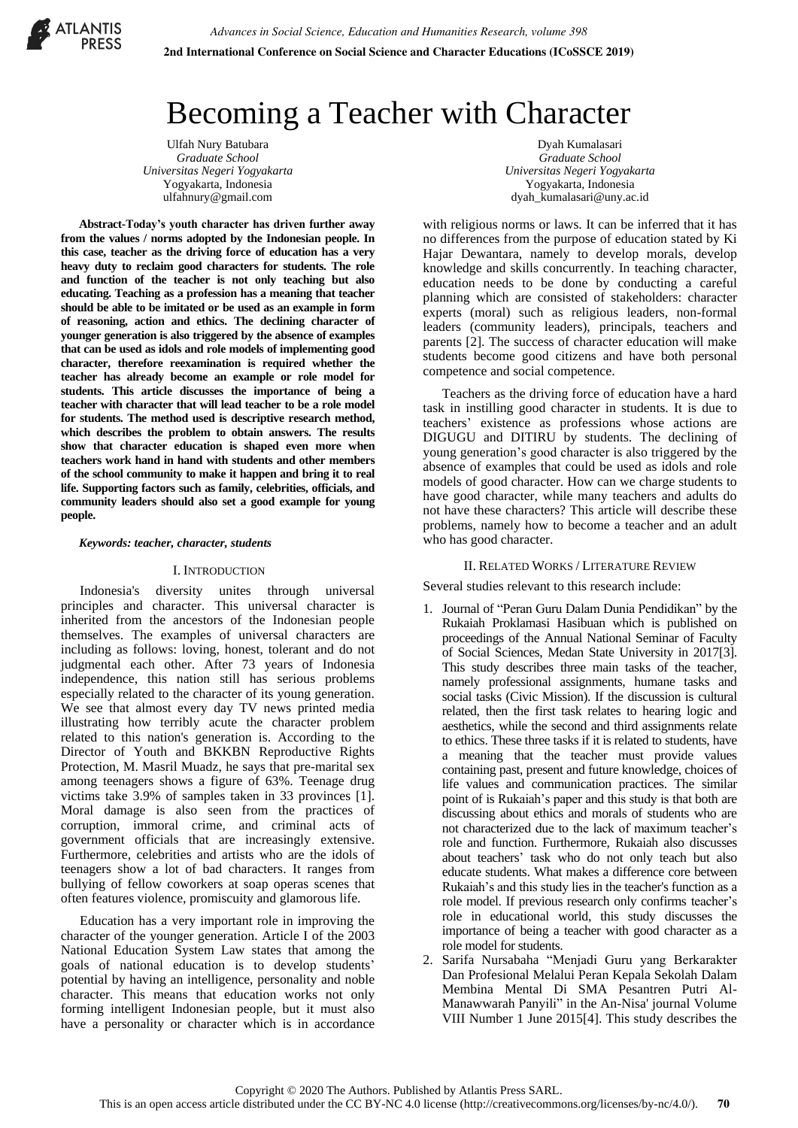

# Becoming a Teacher with Character

Ulfah Nury Batubara *Graduate School Universitas Negeri Yogyakarta*  Yogyakarta, Indonesia ulfahnury@gmail.com

**Abstract-Today's youth character has driven further away from the values / norms adopted by the Indonesian people. In this case, teacher as the driving force of education has a very heavy duty to reclaim good characters for students. The role and function of the teacher is not only teaching but also educating. Teaching as a profession has a meaning that teacher should be able to be imitated or be used as an example in form of reasoning, action and ethics. The declining character of younger generation is also triggered by the absence of examples that can be used as idols and role models of implementing good character, therefore reexamination is required whether the teacher has already become an example or role model for students. This article discusses the importance of being a teacher with character that will lead teacher to be a role model for students. The method used is descriptive research method, which describes the problem to obtain answers. The results show that character education is shaped even more when teachers work hand in hand with students and other members of the school community to make it happen and bring it to real life. Supporting factors such as family, celebrities, officials, and community leaders should also set a good example for young people.** 

#### *Keywords: teacher, character, students*

#### I. INTRODUCTION

Indonesia's diversity unites through universal principles and character. This universal character is inherited from the ancestors of the Indonesian people themselves. The examples of universal characters are including as follows: loving, honest, tolerant and do not judgmental each other. After 73 years of Indonesia independence, this nation still has serious problems especially related to the character of its young generation. We see that almost every day TV news printed media illustrating how terribly acute the character problem related to this nation's generation is. According to the Director of Youth and BKKBN Reproductive Rights Protection, M. Masril Muadz, he says that pre-marital sex among teenagers shows a figure of 63%. Teenage drug victims take 3.9% of samples taken in 33 provinces [1]. Moral damage is also seen from the practices of corruption, immoral crime, and criminal acts of government officials that are increasingly extensive. Furthermore, celebrities and artists who are the idols of teenagers show a lot of bad characters. It ranges from bullying of fellow coworkers at soap operas scenes that often features violence, promiscuity and glamorous life.

Education has a very important role in improving the character of the younger generation. Article I of the 2003 National Education System Law states that among the goals of national education is to develop students' potential by having an intelligence, personality and noble character. This means that education works not only forming intelligent Indonesian people, but it must also have a personality or character which is in accordance

Dyah Kumalasari *Graduate School Universitas Negeri Yogyakarta*  Yogyakarta, Indonesia dyah\_kumalasari@uny.ac.id

with religious norms or laws. It can be inferred that it has no differences from the purpose of education stated by Ki Hajar Dewantara, namely to develop morals, develop knowledge and skills concurrently. In teaching character, education needs to be done by conducting a careful planning which are consisted of stakeholders: character experts (moral) such as religious leaders, non-formal leaders (community leaders), principals, teachers and parents [2]. The success of character education will make students become good citizens and have both personal competence and social competence.

Teachers as the driving force of education have a hard task in instilling good character in students. It is due to teachers' existence as professions whose actions are DIGUGU and DITIRU by students. The declining of young generation's good character is also triggered by the absence of examples that could be used as idols and role models of good character. How can we charge students to have good character, while many teachers and adults do not have these characters? This article will describe these problems, namely how to become a teacher and an adult who has good character.

#### II. RELATED WORKS / LITERATURE REVIEW

Several studies relevant to this research include:

- 1. Journal of "Peran Guru Dalam Dunia Pendidikan" by the Rukaiah Proklamasi Hasibuan which is published on proceedings of the Annual National Seminar of Faculty of Social Sciences, Medan State University in 2017[3]. This study describes three main tasks of the teacher, namely professional assignments, humane tasks and social tasks (Civic Mission). If the discussion is cultural related, then the first task relates to hearing logic and aesthetics, while the second and third assignments relate to ethics. These three tasks if it is related to students, have a meaning that the teacher must provide values containing past, present and future knowledge, choices of life values and communication practices. The similar point of is Rukaiah's paper and this study is that both are discussing about ethics and morals of students who are not characterized due to the lack of maximum teacher's role and function. Furthermore, Rukaiah also discusses about teachers' task who do not only teach but also educate students. What makes a difference core between Rukaiah's and this study lies in the teacher's function as a role model. If previous research only confirms teacher's role in educational world, this study discusses the importance of being a teacher with good character as a role model for students.
- 2. Sarifa Nursabaha "Menjadi Guru yang Berkarakter Dan Profesional Melalui Peran Kepala Sekolah Dalam Membina Mental Di SMA Pesantren Putri Al-Manawwarah Panyili" in the An-Nisa' journal Volume VIII Number 1 June 2015[4]. This study describes the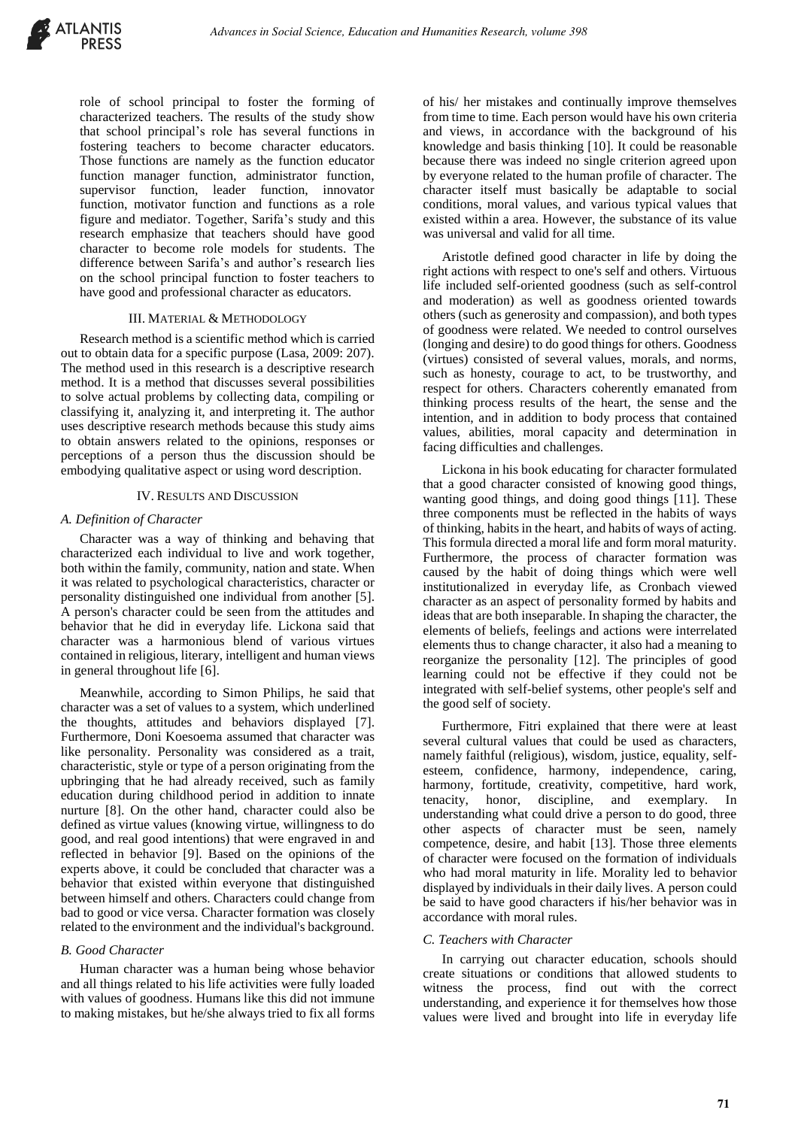

role of school principal to foster the forming of characterized teachers. The results of the study show that school principal's role has several functions in fostering teachers to become character educators. Those functions are namely as the function educator function manager function, administrator function, supervisor function, leader function, innovator function, motivator function and functions as a role figure and mediator. Together, Sarifa's study and this research emphasize that teachers should have good character to become role models for students. The difference between Sarifa's and author's research lies on the school principal function to foster teachers to have good and professional character as educators.

#### III. MATERIAL & METHODOLOGY

Research method is a scientific method which is carried out to obtain data for a specific purpose (Lasa, 2009: 207). The method used in this research is a descriptive research method. It is a method that discusses several possibilities to solve actual problems by collecting data, compiling or classifying it, analyzing it, and interpreting it. The author uses descriptive research methods because this study aims to obtain answers related to the opinions, responses or perceptions of a person thus the discussion should be embodying qualitative aspect or using word description.

#### IV. RESULTS AND DISCUSSION

## *A. Definition of Character*

Character was a way of thinking and behaving that characterized each individual to live and work together, both within the family, community, nation and state. When it was related to psychological characteristics, character or personality distinguished one individual from another [5]. A person's character could be seen from the attitudes and behavior that he did in everyday life. Lickona said that character was a harmonious blend of various virtues contained in religious, literary, intelligent and human views in general throughout life [6].

Meanwhile, according to Simon Philips, he said that character was a set of values to a system, which underlined the thoughts, attitudes and behaviors displayed [7]. Furthermore, Doni Koesoema assumed that character was like personality. Personality was considered as a trait, characteristic, style or type of a person originating from the upbringing that he had already received, such as family education during childhood period in addition to innate nurture [8]. On the other hand, character could also be defined as virtue values (knowing virtue, willingness to do good, and real good intentions) that were engraved in and reflected in behavior [9]. Based on the opinions of the experts above, it could be concluded that character was a behavior that existed within everyone that distinguished between himself and others. Characters could change from bad to good or vice versa. Character formation was closely related to the environment and the individual's background.

## *B. Good Character*

Human character was a human being whose behavior and all things related to his life activities were fully loaded with values of goodness. Humans like this did not immune to making mistakes, but he/she always tried to fix all forms of his/ her mistakes and continually improve themselves from time to time. Each person would have his own criteria and views, in accordance with the background of his knowledge and basis thinking [10]. It could be reasonable because there was indeed no single criterion agreed upon by everyone related to the human profile of character. The character itself must basically be adaptable to social conditions, moral values, and various typical values that existed within a area. However, the substance of its value was universal and valid for all time.

Aristotle defined good character in life by doing the right actions with respect to one's self and others. Virtuous life included self-oriented goodness (such as self-control and moderation) as well as goodness oriented towards others (such as generosity and compassion), and both types of goodness were related. We needed to control ourselves (longing and desire) to do good things for others. Goodness (virtues) consisted of several values, morals, and norms, such as honesty, courage to act, to be trustworthy, and respect for others. Characters coherently emanated from thinking process results of the heart, the sense and the intention, and in addition to body process that contained values, abilities, moral capacity and determination in facing difficulties and challenges.

Lickona in his book educating for character formulated that a good character consisted of knowing good things, wanting good things, and doing good things [11]. These three components must be reflected in the habits of ways of thinking, habits in the heart, and habits of ways of acting. This formula directed a moral life and form moral maturity. Furthermore, the process of character formation was caused by the habit of doing things which were well institutionalized in everyday life, as Cronbach viewed character as an aspect of personality formed by habits and ideas that are both inseparable. In shaping the character, the elements of beliefs, feelings and actions were interrelated elements thus to change character, it also had a meaning to reorganize the personality [12]. The principles of good learning could not be effective if they could not be integrated with self-belief systems, other people's self and the good self of society.

Furthermore, Fitri explained that there were at least several cultural values that could be used as characters, namely faithful (religious), wisdom, justice, equality, selfesteem, confidence, harmony, independence, caring, harmony, fortitude, creativity, competitive, hard work, tenacity, honor, discipline, and exemplary. In understanding what could drive a person to do good, three other aspects of character must be seen, namely competence, desire, and habit [13]. Those three elements of character were focused on the formation of individuals who had moral maturity in life. Morality led to behavior displayed by individuals in their daily lives. A person could be said to have good characters if his/her behavior was in accordance with moral rules.

## *C. Teachers with Character*

In carrying out character education, schools should create situations or conditions that allowed students to witness the process, find out with the correct understanding, and experience it for themselves how those values were lived and brought into life in everyday life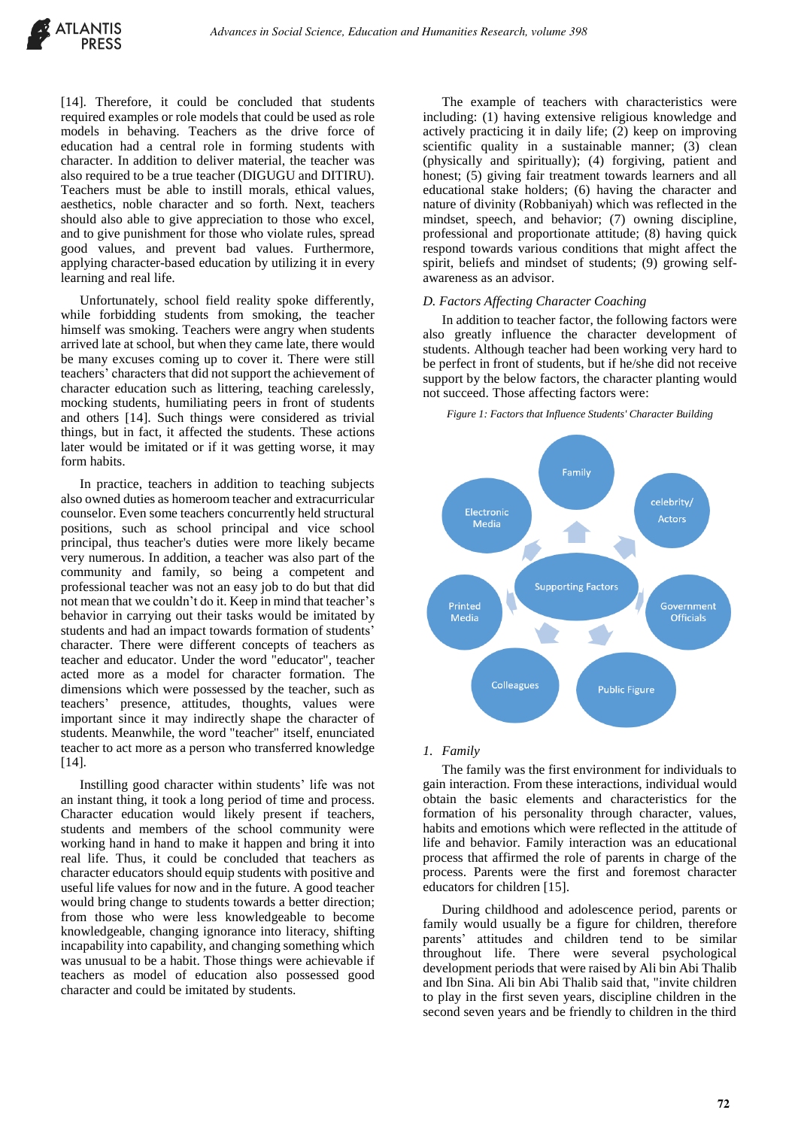

[14]. Therefore, it could be concluded that students required examples or role models that could be used as role models in behaving. Teachers as the drive force of education had a central role in forming students with character. In addition to deliver material, the teacher was also required to be a true teacher (DIGUGU and DITIRU). Teachers must be able to instill morals, ethical values, aesthetics, noble character and so forth. Next, teachers should also able to give appreciation to those who excel, and to give punishment for those who violate rules, spread good values, and prevent bad values. Furthermore, applying character-based education by utilizing it in every learning and real life.

Unfortunately, school field reality spoke differently, while forbidding students from smoking, the teacher himself was smoking. Teachers were angry when students arrived late at school, but when they came late, there would be many excuses coming up to cover it. There were still teachers' characters that did not support the achievement of character education such as littering, teaching carelessly, mocking students, humiliating peers in front of students and others [14]. Such things were considered as trivial things, but in fact, it affected the students. These actions later would be imitated or if it was getting worse, it may form habits.

In practice, teachers in addition to teaching subjects also owned duties as homeroom teacher and extracurricular counselor. Even some teachers concurrently held structural positions, such as school principal and vice school principal, thus teacher's duties were more likely became very numerous. In addition, a teacher was also part of the community and family, so being a competent and professional teacher was not an easy job to do but that did not mean that we couldn't do it. Keep in mind that teacher's behavior in carrying out their tasks would be imitated by students and had an impact towards formation of students' character. There were different concepts of teachers as teacher and educator. Under the word "educator", teacher acted more as a model for character formation. The dimensions which were possessed by the teacher, such as teachers' presence, attitudes, thoughts, values were important since it may indirectly shape the character of students. Meanwhile, the word "teacher" itself, enunciated teacher to act more as a person who transferred knowledge [14].

Instilling good character within students' life was not an instant thing, it took a long period of time and process. Character education would likely present if teachers, students and members of the school community were working hand in hand to make it happen and bring it into real life. Thus, it could be concluded that teachers as character educators should equip students with positive and useful life values for now and in the future. A good teacher would bring change to students towards a better direction; from those who were less knowledgeable to become knowledgeable, changing ignorance into literacy, shifting incapability into capability, and changing something which was unusual to be a habit. Those things were achievable if teachers as model of education also possessed good character and could be imitated by students.

The example of teachers with characteristics were including: (1) having extensive religious knowledge and actively practicing it in daily life; (2) keep on improving scientific quality in a sustainable manner; (3) clean (physically and spiritually); (4) forgiving, patient and honest; (5) giving fair treatment towards learners and all educational stake holders; (6) having the character and nature of divinity (Robbaniyah) which was reflected in the mindset, speech, and behavior; (7) owning discipline, professional and proportionate attitude; (8) having quick respond towards various conditions that might affect the spirit, beliefs and mindset of students; (9) growing selfawareness as an advisor.

#### *D. Factors Affecting Character Coaching*

In addition to teacher factor, the following factors were also greatly influence the character development of students. Although teacher had been working very hard to be perfect in front of students, but if he/she did not receive support by the below factors, the character planting would not succeed. Those affecting factors were:

#### *Figure 1: Factors that Influence Students' Character Building*



#### *1. Family*

The family was the first environment for individuals to gain interaction. From these interactions, individual would obtain the basic elements and characteristics for the formation of his personality through character, values, habits and emotions which were reflected in the attitude of life and behavior. Family interaction was an educational process that affirmed the role of parents in charge of the process. Parents were the first and foremost character educators for children [15].

During childhood and adolescence period, parents or family would usually be a figure for children, therefore parents' attitudes and children tend to be similar throughout life. There were several psychological development periods that were raised by Ali bin Abi Thalib and Ibn Sina. Ali bin Abi Thalib said that, "invite children to play in the first seven years, discipline children in the second seven years and be friendly to children in the third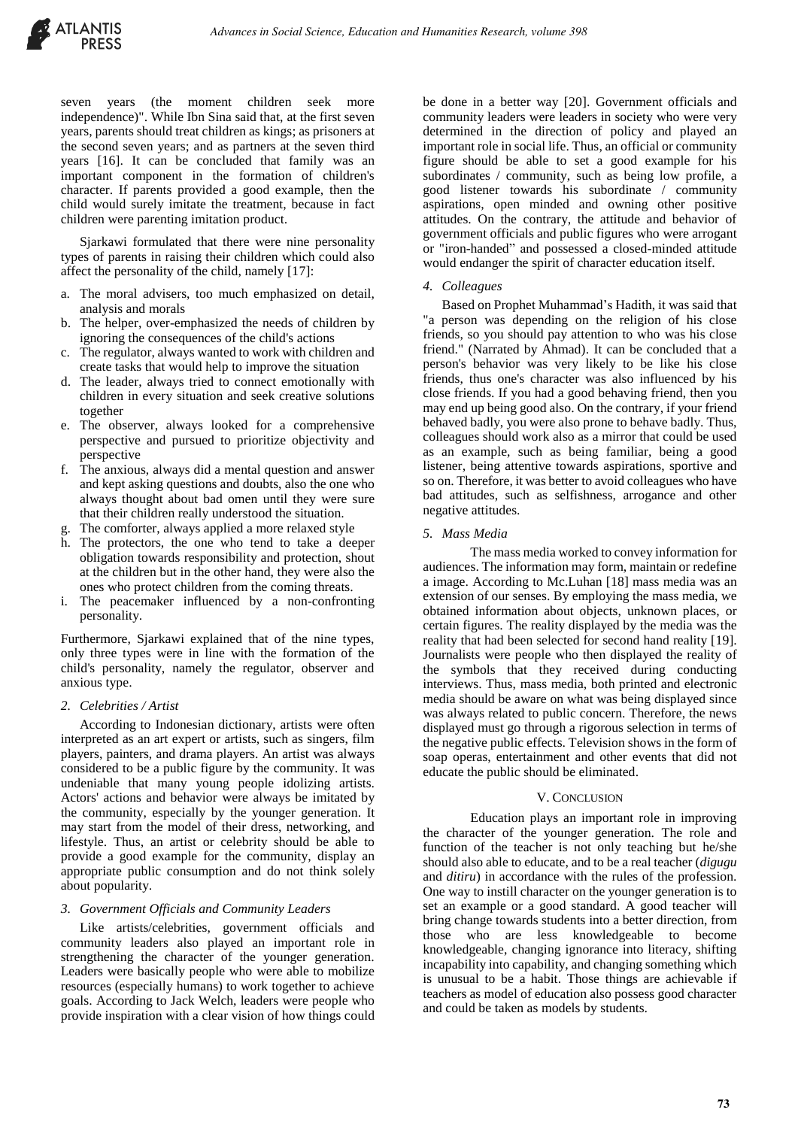seven years (the moment children seek more independence)". While Ibn Sina said that, at the first seven years, parents should treat children as kings; as prisoners at the second seven years; and as partners at the seven third years [16]. It can be concluded that family was an important component in the formation of children's character. If parents provided a good example, then the child would surely imitate the treatment, because in fact children were parenting imitation product.

Sjarkawi formulated that there were nine personality types of parents in raising their children which could also affect the personality of the child, namely [17]:

- a. The moral advisers, too much emphasized on detail, analysis and morals
- b. The helper, over-emphasized the needs of children by ignoring the consequences of the child's actions
- c. The regulator, always wanted to work with children and create tasks that would help to improve the situation
- d. The leader, always tried to connect emotionally with children in every situation and seek creative solutions together
- e. The observer, always looked for a comprehensive perspective and pursued to prioritize objectivity and perspective
- f. The anxious, always did a mental question and answer and kept asking questions and doubts, also the one who always thought about bad omen until they were sure that their children really understood the situation.
- g. The comforter, always applied a more relaxed style
- h. The protectors, the one who tend to take a deeper obligation towards responsibility and protection, shout at the children but in the other hand, they were also the ones who protect children from the coming threats.
- i. The peacemaker influenced by a non-confronting personality.

Furthermore, Sjarkawi explained that of the nine types, only three types were in line with the formation of the child's personality, namely the regulator, observer and anxious type.

## *2. Celebrities / Artist*

According to Indonesian dictionary, artists were often interpreted as an art expert or artists, such as singers, film players, painters, and drama players. An artist was always considered to be a public figure by the community. It was undeniable that many young people idolizing artists. Actors' actions and behavior were always be imitated by the community, especially by the younger generation. It may start from the model of their dress, networking, and lifestyle. Thus, an artist or celebrity should be able to provide a good example for the community, display an appropriate public consumption and do not think solely about popularity.

## *3. Government Officials and Community Leaders*

Like artists/celebrities, government officials and community leaders also played an important role in strengthening the character of the younger generation. Leaders were basically people who were able to mobilize resources (especially humans) to work together to achieve goals. According to Jack Welch, leaders were people who provide inspiration with a clear vision of how things could

be done in a better way [20]. Government officials and community leaders were leaders in society who were very determined in the direction of policy and played an important role in social life. Thus, an official or community figure should be able to set a good example for his subordinates / community, such as being low profile, a good listener towards his subordinate / community aspirations, open minded and owning other positive attitudes. On the contrary, the attitude and behavior of government officials and public figures who were arrogant or "iron-handed" and possessed a closed-minded attitude would endanger the spirit of character education itself.

## *4. Colleagues*

Based on Prophet Muhammad's Hadith, it was said that "a person was depending on the religion of his close friends, so you should pay attention to who was his close friend." (Narrated by Ahmad). It can be concluded that a person's behavior was very likely to be like his close friends, thus one's character was also influenced by his close friends. If you had a good behaving friend, then you may end up being good also. On the contrary, if your friend behaved badly, you were also prone to behave badly. Thus, colleagues should work also as a mirror that could be used as an example, such as being familiar, being a good listener, being attentive towards aspirations, sportive and so on. Therefore, it was better to avoid colleagues who have bad attitudes, such as selfishness, arrogance and other negative attitudes.

## *5. Mass Media*

The mass media worked to convey information for audiences. The information may form, maintain or redefine a image. According to Mc.Luhan [18] mass media was an extension of our senses. By employing the mass media, we obtained information about objects, unknown places, or certain figures. The reality displayed by the media was the reality that had been selected for second hand reality [19]. Journalists were people who then displayed the reality of the symbols that they received during conducting interviews. Thus, mass media, both printed and electronic media should be aware on what was being displayed since was always related to public concern. Therefore, the news displayed must go through a rigorous selection in terms of the negative public effects. Television shows in the form of soap operas, entertainment and other events that did not educate the public should be eliminated.

## V. CONCLUSION

Education plays an important role in improving the character of the younger generation. The role and function of the teacher is not only teaching but he/she should also able to educate, and to be a real teacher (*digugu* and *ditiru*) in accordance with the rules of the profession. One way to instill character on the younger generation is to set an example or a good standard. A good teacher will bring change towards students into a better direction, from those who are less knowledgeable to become knowledgeable, changing ignorance into literacy, shifting incapability into capability, and changing something which is unusual to be a habit. Those things are achievable if teachers as model of education also possess good character and could be taken as models by students.